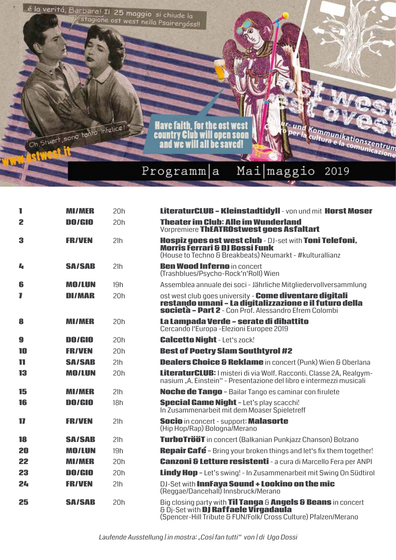

| 1              | <b>MI/MER</b> | 20h | LiteraturCLUB - Kleinstadtidyll - von und mit Horst Moser                                                                                                                         |
|----------------|---------------|-----|-----------------------------------------------------------------------------------------------------------------------------------------------------------------------------------|
| $\overline{2}$ | <b>DO/GIO</b> | 20h | <b>Theater im Club: Alle im Wunderland</b><br>Vorpremiere ThEATROstwest goes Asfaltart                                                                                            |
| 3              | <b>FR/VEN</b> | 21h | Hospiz goes ost west club - DJ-set with Toni Telefoni,<br><b>Morris Ferrari &amp; DJ Bossi Funk</b><br>(House to Techno & Breakbeats) Neumarkt - #kulturallianz                   |
| $L_{\rm I}$    | <b>SA/SAB</b> | 21h | <b>Ben Wood Inferno in concert</b><br>(Trashblues/Psycho-Rock'n'Roll) Wien                                                                                                        |
| 6              | <b>MO/LUN</b> | 19h | Assemblea annuale dei soci - Jährliche Mitgliedervollversammlung                                                                                                                  |
| 7              | <b>DI/MAR</b> | 20h | ost west club goes university - Come diventare digitali<br>restando umani - La digitalizzazione e il futuro della<br><b>società - Part 2</b> - Con Prof. Alessandro Efrem Colombi |
| 8              | <b>MI/MER</b> | 20h | La Lampada Verde - serate di dibattito<br>Cercando l'Europa - Elezioni Europee 2019                                                                                               |
| 9              | DO/GIO        | 20h | <b>Calcetto Night - Let's zock!</b>                                                                                                                                               |
| 10             | <b>FR/VEN</b> | 20h | <b>Best of Poetry Slam Southtyrol #2</b>                                                                                                                                          |
| 11             | <b>SA/SAB</b> | 21h | <b>Dealers Choice &amp; Reklame</b> in concert (Punk) Wien & Oberlana                                                                                                             |
| 13             | <b>MO/LUN</b> | 20h | <b>LiteraturCLUB:</b> I misteri di via Wolf. Racconti. Classe 2A, Realgym-<br>nasium "A. Einstein" - Presentazione del libro e intermezzi musicali                                |
| 15             | <b>MI/MER</b> | 21h | Noche de Tango - Bailar Tango es caminar con firulete                                                                                                                             |
| 16             | DO/GIO        | 18h | <b>Special Game Night - Let's play scacchi!</b><br>In Zusammenarbeit mit dem Moaser Spieletreff                                                                                   |
| 17             | <b>FR/VEN</b> | 21h | <b>Socio</b> in concert - support: <b>Malasorte</b><br>(Hip Hop/Rap) Bologna/Merano                                                                                               |
| 18             | <b>SA/SAB</b> | 21h | TurboTrööT in concert (Balkanian Punkjazz Chanson) Bolzano                                                                                                                        |
| 20             | <b>MO/LUN</b> | 19h | Repair Café - Bring your broken things and let's fix them together!                                                                                                               |
| 22             | <b>MI/MER</b> | 20h | <b>Canzoni &amp; Letture resistenti</b> - a cura di Marcello Fera per ANPI                                                                                                        |
| 23             | <b>DO/GIO</b> | 20h | <b>Lindy Hop</b> - Let's swing! - In Zusammenarbeit mit Swing On Südtirol                                                                                                         |
| 24             | <b>FR/VEN</b> | 21h | DJ-Set with InnFaya Sound + Lookino on the mic<br>(Reggae/Dancehall) Innsbruck/Merano                                                                                             |
| 25             | <b>SA/SAB</b> | 20h | Big closing party with Til Tanga & Angels & Beans in concert<br>& Di-Set with DJ Raffaele Virgadaula<br>(Spencer-Hill Tribute & FUN/Folk/ Cross Culture) Pfalzen/Merano           |